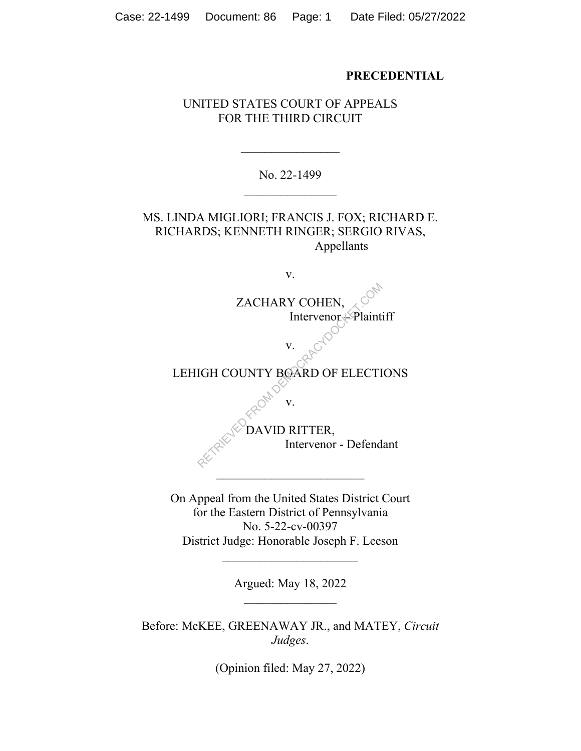#### **PRECEDENTIAL**

# UNITED STATES COURT OF APPEALS FOR THE THIRD CIRCUIT

No. 22-1499

MS. LINDA MIGLIORI; FRANCIS J. FOX; RICHARD E. RICHARDS; KENNETH RINGER; SERGIO RIVAS, Appellants

v. ZACHARY COHEN, Intervenor – Plaintiff v. LEHIGH COUNTY BOARD OF ELECTIONS v. DAVID RITTER, Intervenor - Defendant  $\mathcal{L}_\text{max}$ ZACHARY COHEN,<br>
Intervenor Plaint<br>
V. COMPORED OF ELECTI<br>
IGH COUNTY BOARD OF ELECTI<br>
V. COMPORED OF ELECTI<br>
V. COMPORED OF ELECTI<br>
V. COMPORED OF ELECTI

On Appeal from the United States District Court for the Eastern District of Pennsylvania No. 5-22-cv-00397 District Judge: Honorable Joseph F. Leeson

Argued: May 18, 2022

Before: McKEE, GREENAWAY JR., and MATEY, *Circuit Judges*.

(Opinion filed: May 27, 2022)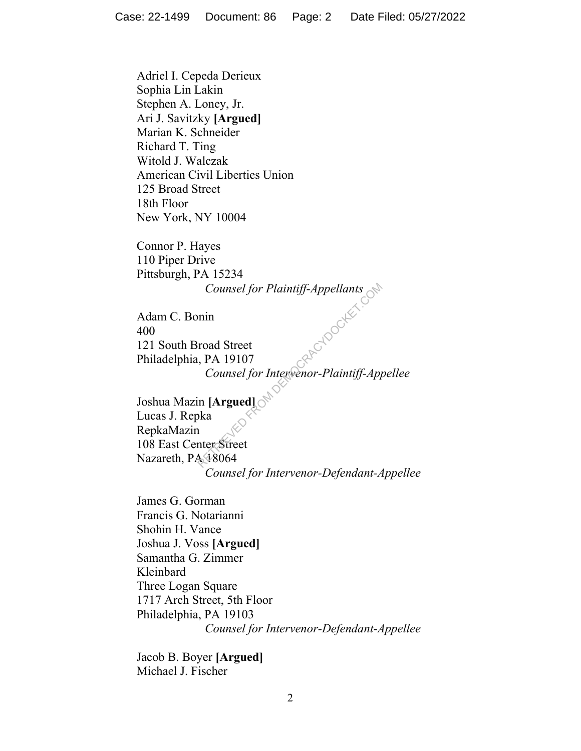Adriel I. Cepeda Derieux Sophia Lin Lakin Stephen A. Loney, Jr. Ari J. Savitzky **[Argued]** Marian K. Schneider Richard T. Ting Witold J. Walczak American Civil Liberties Union 125 Broad Street 18th Floor New York, NY 10004

Connor P. Hayes 110 Piper Drive Pittsburgh, PA 15234

Adam C. Bonin 400 121 South Broad Street Philadelphia, PA 19107 *Counsel for Intervenor-Plaintiff-Appellee*

*Counsel for Plaintiff-Appellants*<br>
min<br>
road Street<br>
., PA 19107<br> *Counsel for Intervenor-Plaintiff-App*<br>
in [**Argued]**<br>
oka<br> **hter Street**<br>
4 18064 Joshua Mazin **[Argued]** Lucas J. Repka RepkaMazin 108 East Center Street Nazareth, PA 18064 *Counsel for Intervenor-Defendant-Appellee*

James G. Gorman Francis G. Notarianni Shohin H. Vance Joshua J. Voss **[Argued]** Samantha G. Zimmer Kleinbard Three Logan Square 1717 Arch Street, 5th Floor Philadelphia, PA 19103 *Counsel for Intervenor-Defendant-Appellee*

Jacob B. Boyer **[Argued]** Michael J. Fischer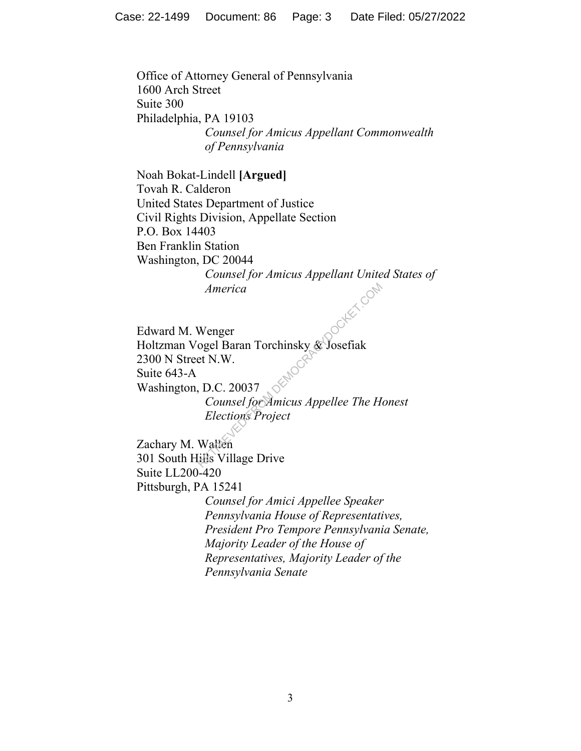Office of Attorney General of Pennsylvania 1600 Arch Street Suite 300 Philadelphia, PA 19103 *Counsel for Amicus Appellant Commonwealth of Pennsylvania*

Noah Bokat-Lindell **[Argued]** Tovah R. Calderon United States Department of Justice Civil Rights Division, Appellate Section P.O. Box 14403 Ben Franklin Station Washington, DC 20044 *Counsel for Amicus Appellant United States of America*

Edward M. Wenger Holtzman Vogel Baran Torchinsky & Josefiak 2300 N Street N.W. Suite 643-A Washington, D.C. 20037 *Counsel for Amicus Appellee The Honest Elections Project* America<br>
Wenger<br>
ogel Baran Torchinsky & Josefiak<br>
et N.W.<br>
D.C. 20037<br>
Counsel for Amicus Appellee The H<br>
Elections Project<br>
Wallen<br>
Wallen<br>
ills Village Drive

Zachary M. Wallen 301 South Hills Village Drive Suite LL200-420 Pittsburgh, PA 15241

> *Counsel for Amici Appellee Speaker Pennsylvania House of Representatives, President Pro Tempore Pennsylvania Senate, Majority Leader of the House of Representatives, Majority Leader of the Pennsylvania Senate*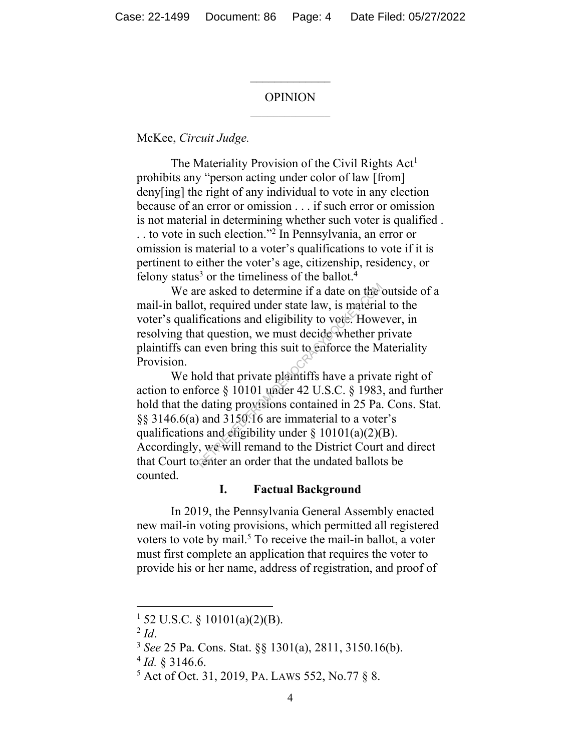#### OPINION

 $\frac{1}{2}$ 

McKee, *Circuit Judge.*

The Materiality Provision of the Civil Rights  $Act<sup>1</sup>$ prohibits any "person acting under color of law [from] deny[ing] the right of any individual to vote in any election because of an error or omission . . . if such error or omission is not material in determining whether such voter is qualified . . . to vote in such election."<sup>2</sup> In Pennsylvania, an error or omission is material to a voter's qualifications to vote if it is pertinent to either the voter's age, citizenship, residency, or felony status<sup>3</sup> or the timeliness of the ballot.<sup>4</sup>

We are asked to determine if a date on the outside of a mail-in ballot, required under state law, is material to the voter's qualifications and eligibility to vote. However, in resolving that question, we must decide whether private plaintiffs can even bring this suit to enforce the Materiality Provision.

We hold that private plaintiffs have a private right of action to enforce § 10101 under 42 U.S.C. § 1983, and further hold that the dating provisions contained in 25 Pa. Cons. Stat. §§ 3146.6(a) and 3150.16 are immaterial to a voter's qualifications and eligibility under  $\S$  10101(a)(2)(B). Accordingly, we will remand to the District Court and direct that Court to enter an order that the undated ballots be counted. re asked to determine if a date on the other, required under state law, is material fications and eligibility to vote. However, the question, we must decide whether p is even bring this suit to enforce the M old that priv

#### **I. Factual Background**

In 2019, the Pennsylvania General Assembly enacted new mail-in voting provisions, which permitted all registered voters to vote by mail.<sup>5</sup> To receive the mail-in ballot, a voter must first complete an application that requires the voter to provide his or her name, address of registration, and proof of

 $1\,$  52 U.S.C. § 10101(a)(2)(B).

<sup>2</sup> *Id*.

<sup>3</sup> *See* 25 Pa. Cons. Stat. §§ 1301(a), 2811, 3150.16(b).

 $4$  *Id.* § 3146.6.

<sup>5</sup> Act of Oct. 31, 2019, PA. LAWS 552, No.77 § 8.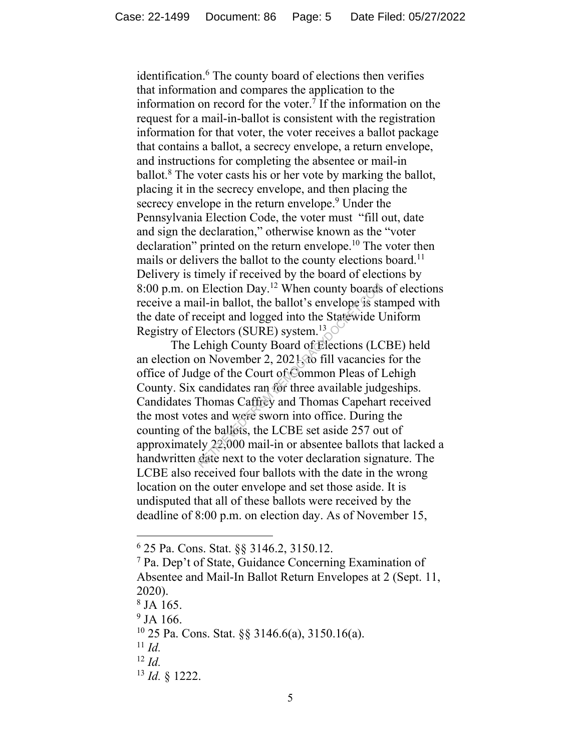identification.<sup>6</sup> The county board of elections then verifies that information and compares the application to the information on record for the voter.<sup>7</sup> If the information on the request for a mail-in-ballot is consistent with the registration information for that voter, the voter receives a ballot package that contains a ballot, a secrecy envelope, a return envelope, and instructions for completing the absentee or mail-in ballot.<sup>8</sup> The voter casts his or her vote by marking the ballot, placing it in the secrecy envelope, and then placing the secrecy envelope in the return envelope.<sup>9</sup> Under the Pennsylvania Election Code, the voter must "fill out, date and sign the declaration," otherwise known as the "voter declaration" printed on the return envelope.<sup>10</sup> The voter then mails or delivers the ballot to the county elections board.<sup>11</sup> Delivery is timely if received by the board of elections by 8:00 p.m. on Election Day.<sup>12</sup> When county boards of elections receive a mail-in ballot, the ballot's envelope is stamped with the date of receipt and logged into the Statewide Uniform Registry of Electors (SURE) system.<sup>13</sup>

The Lehigh County Board of Elections (LCBE) held an election on November 2, 2021, to fill vacancies for the office of Judge of the Court of Common Pleas of Lehigh County. Six candidates ran for three available judgeships. Candidates Thomas Caffrey and Thomas Capehart received the most votes and were sworn into office. During the counting of the ballots, the LCBE set aside 257 out of approximately 22,000 mail-in or absentee ballots that lacked a handwritten date next to the voter declaration signature. The LCBE also received four ballots with the date in the wrong location on the outer envelope and set those aside. It is undisputed that all of these ballots were received by the deadline of 8:00 p.m. on election day. As of November 15, Reflection Day.<sup>12</sup> When county boards<br>iil-in ballot, the ballot's envelope is st<br>ecceipt and logged into the Statewide U<br>Electors (SURE) system.<sup>13</sup><br>cehigh County Board of Elections (LC<br>on November 2, 2021, to fill vacan

<sup>6</sup> 25 Pa. Cons. Stat. §§ 3146.2, 3150.12.

<sup>7</sup> Pa. Dep't of State, Guidance Concerning Examination of Absentee and Mail-In Ballot Return Envelopes at 2 (Sept. 11, 2020).

<sup>8</sup> JA 165.

<sup>&</sup>lt;sup>9</sup> JA 166.

<sup>10</sup> 25 Pa. Cons. Stat. §§ 3146.6(a), 3150.16(a).

 $11$  *Id.* 

<sup>12</sup> *Id.*

<sup>13</sup> *Id.* § 1222.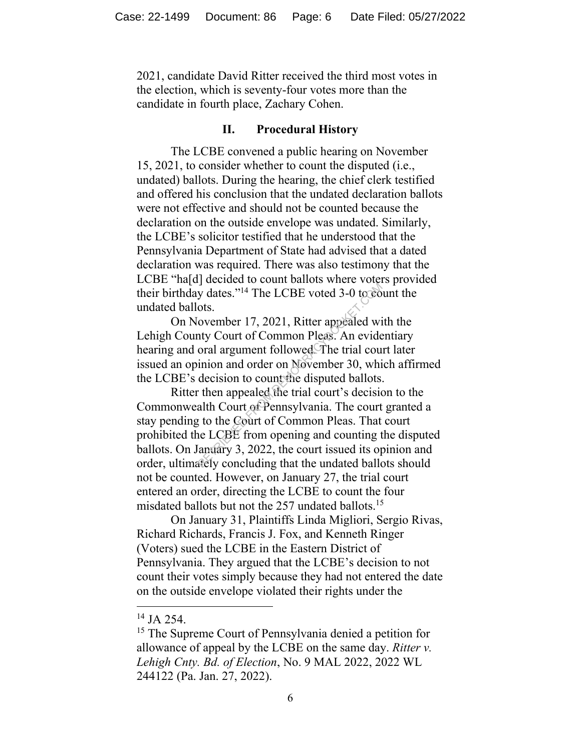2021, candidate David Ritter received the third most votes in the election, which is seventy-four votes more than the candidate in fourth place, Zachary Cohen.

#### **II. Procedural History**

The LCBE convened a public hearing on November 15, 2021, to consider whether to count the disputed (i.e., undated) ballots. During the hearing, the chief clerk testified and offered his conclusion that the undated declaration ballots were not effective and should not be counted because the declaration on the outside envelope was undated. Similarly, the LCBE's solicitor testified that he understood that the Pennsylvania Department of State had advised that a dated declaration was required. There was also testimony that the LCBE "ha[d] decided to count ballots where voters provided their birthday dates."<sup>14</sup> The LCBE voted 3-0 to count the undated ballots.

On November 17, 2021, Ritter appealed with the Lehigh County Court of Common Pleas. An evidentiary hearing and oral argument followed. The trial court later issued an opinion and order on November 30, which affirmed the LCBE's decision to count the disputed ballots.

Ritter then appealed the trial court's decision to the Commonwealth Court of Pennsylvania. The court granted a stay pending to the Court of Common Pleas. That court prohibited the LCBE from opening and counting the disputed ballots. On January 3, 2022, the court issued its opinion and order, ultimately concluding that the undated ballots should not be counted. However, on January 27, the trial court entered an order, directing the LCBE to count the four misdated ballots but not the 257 undated ballots.<sup>15</sup> y dates."<sup>14</sup> The LCBE voted 3-0 to coosts.<br>
ovember 17, 2021, Ritter appealed wi<br>
nty Court of Common Pleas. An evide<br>
oral argument followed The trial cou<br>
inion and order on November 30, whi<br>
decision to count the dispu

On January 31, Plaintiffs Linda Migliori, Sergio Rivas, Richard Richards, Francis J. Fox, and Kenneth Ringer (Voters) sued the LCBE in the Eastern District of Pennsylvania. They argued that the LCBE's decision to not count their votes simply because they had not entered the date on the outside envelope violated their rights under the

 $14$  JA 254.

<sup>&</sup>lt;sup>15</sup> The Supreme Court of Pennsylvania denied a petition for allowance of appeal by the LCBE on the same day. *Ritter v. Lehigh Cnty. Bd. of Election*, No. 9 MAL 2022, 2022 WL 244122 (Pa. Jan. 27, 2022).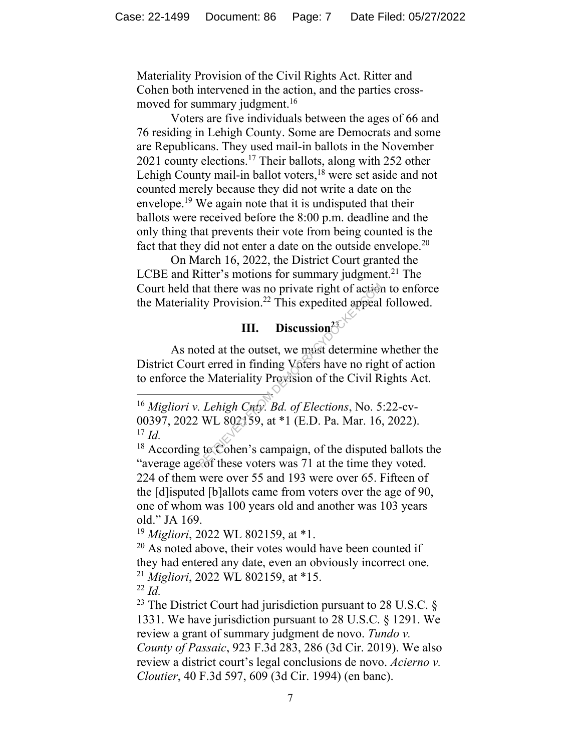Materiality Provision of the Civil Rights Act. Ritter and Cohen both intervened in the action, and the parties crossmoved for summary judgment.<sup>16</sup>

Voters are five individuals between the ages of 66 and 76 residing in Lehigh County. Some are Democrats and some are Republicans. They used mail-in ballots in the November 2021 county elections.<sup>17</sup> Their ballots, along with 252 other Lehigh County mail-in ballot voters, <sup>18</sup> were set aside and not counted merely because they did not write a date on the envelope.<sup>19</sup> We again note that it is undisputed that their ballots were received before the 8:00 p.m. deadline and the only thing that prevents their vote from being counted is the fact that they did not enter a date on the outside envelope.<sup>20</sup>

On March 16, 2022, the District Court granted the LCBE and Ritter's motions for summary judgment.<sup>21</sup> The Court held that there was no private right of action to enforce the Materiality Provision. <sup>22</sup> This expedited appeal followed.

# **III. Discussion<sup>23</sup>**

As noted at the outset, we must determine whether the District Court erred in finding Voters have no right of action to enforce the Materiality Provision of the Civil Rights Act. that there was no private right of action<br>ity Provision.<sup>22</sup> This expedited appeal<br>III. Discussion<sup>23</sup><br>bted at the outset, we must determine v<br>rt erred in finding Voters have no right<br>intervalse the Civil R<br>*Lehigh Cray. B* 

<sup>18</sup> According to Cohen's campaign, of the disputed ballots the "average age of these voters was 71 at the time they voted. 224 of them were over 55 and 193 were over 65. Fifteen of the [d]isputed [b]allots came from voters over the age of 90, one of whom was 100 years old and another was 103 years old." JA 169.

<sup>19</sup> *Migliori*, 2022 WL 802159, at \*1.

 $20$  As noted above, their votes would have been counted if they had entered any date, even an obviously incorrect one. <sup>21</sup> *Migliori*, 2022 WL 802159, at \*15.

 $22$  *Id.* 

<sup>23</sup> The District Court had jurisdiction pursuant to 28 U.S.C.  $\S$ 1331. We have jurisdiction pursuant to 28 U.S.C. § 1291. We review a grant of summary judgment de novo. *Tundo v. County of Passaic*, 923 F.3d 283, 286 (3d Cir. 2019). We also review a district court's legal conclusions de novo. *Acierno v. Cloutier*, 40 F.3d 597, 609 (3d Cir. 1994) (en banc).

<sup>16</sup> *Migliori v. Lehigh Cnty. Bd. of Elections*, No. 5:22-cv-00397, 2022 WL 802159, at \*1 (E.D. Pa. Mar. 16, 2022). <sup>17</sup> *Id.*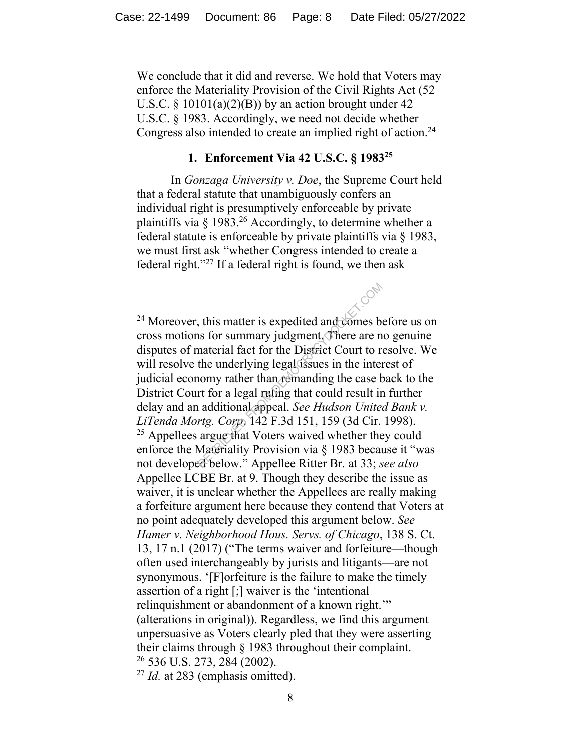We conclude that it did and reverse. We hold that Voters may enforce the Materiality Provision of the Civil Rights Act (52 U.S.C.  $\S$  10101(a)(2)(B)) by an action brought under 42 U.S.C. § 1983. Accordingly, we need not decide whether Congress also intended to create an implied right of action.<sup>24</sup>

### **1. Enforcement Via 42 U.S.C. § 1983<sup>25</sup>**

In *Gonzaga University v. Doe*, the Supreme Court held that a federal statute that unambiguously confers an individual right is presumptively enforceable by private plaintiffs via  $\frac{1}{983}$ <sup>26</sup> Accordingly, to determine whether a federal statute is enforceable by private plaintiffs via § 1983, we must first ask "whether Congress intended to create a federal right."<sup>27</sup> If a federal right is found, we then ask

<sup>&</sup>lt;sup>24</sup> Moreover, this matter is expedited and comes before us on cross motions for summary judgment. There are no genuine disputes of material fact for the District Court to resolve. We will resolve the underlying legal issues in the interest of judicial economy rather than remanding the case back to the District Court for a legal ruling that could result in further delay and an additional appeal. *See Hudson United Bank v. LiTenda Mortg. Corp*. 142 F.3d 151, 159 (3d Cir. 1998).  $25$  Appellees argue that Voters waived whether they could enforce the Materiality Provision via § 1983 because it "was not developed below." Appellee Ritter Br. at 33; *see also*  Appellee LCBE Br. at 9. Though they describe the issue as waiver, it is unclear whether the Appellees are really making a forfeiture argument here because they contend that Voters at no point adequately developed this argument below. *See Hamer v. Neighborhood Hous. Servs. of Chicago*, 138 S. Ct. 13, 17 n.1 (2017) ("The terms waiver and forfeiture—though often used interchangeably by jurists and litigants—are not synonymous. '[F]orfeiture is the failure to make the timely assertion of a right [;] waiver is the 'intentional relinquishment or abandonment of a known right." (alterations in original)). Regardless, we find this argument unpersuasive as Voters clearly pled that they were asserting their claims through § 1983 throughout their complaint. <sup>26</sup> 536 U.S. 273, 284 (2002). This matter is expedited and comes be the Summary judgment. There are not<br>aterial fact for the District Court to represent the underlying legal<br>assues in the inter-<br>nomy rather than remanding the case be the top of the se

<sup>27</sup> *Id.* at 283 (emphasis omitted).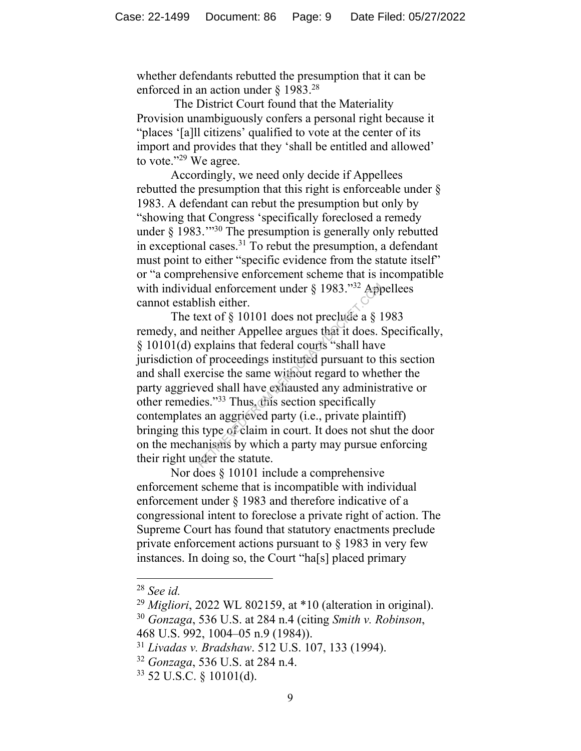whether defendants rebutted the presumption that it can be enforced in an action under  $\S$  1983.<sup>28</sup>

The District Court found that the Materiality Provision unambiguously confers a personal right because it "places '[a]ll citizens' qualified to vote at the center of its import and provides that they 'shall be entitled and allowed' to vote."<sup>29</sup> We agree.

Accordingly, we need only decide if Appellees rebutted the presumption that this right is enforceable under § 1983. A defendant can rebut the presumption but only by "showing that Congress 'specifically foreclosed a remedy under § 1983.'"<sup>30</sup> The presumption is generally only rebutted in exceptional cases.<sup>31</sup> To rebut the presumption, a defendant must point to either "specific evidence from the statute itself" or "a comprehensive enforcement scheme that is incompatible with individual enforcement under § 1983."<sup>32</sup> Appellees cannot establish either.

The text of § 10101 does not preclude a § 1983 remedy, and neither Appellee argues that it does. Specifically, § 10101(d) explains that federal courts "shall have jurisdiction of proceedings instituted pursuant to this section and shall exercise the same without regard to whether the party aggrieved shall have exhausted any administrative or other remedies."<sup>33</sup> Thus, this section specifically contemplates an aggrieved party (i.e., private plaintiff) bringing this type of claim in court. It does not shut the door on the mechanisms by which a party may pursue enforcing their right under the statute. ual enforcement under § 1983."<sup>32</sup> Applish either.<br>
ext of § 10101 does not preclude a § 1<br>
neither Appellee argues that it does. S<br>
explains that federal courts "shall have<br>
of proceedings instituted pursuant to t<br>
ercis

Nor does § 10101 include a comprehensive enforcement scheme that is incompatible with individual enforcement under § 1983 and therefore indicative of a congressional intent to foreclose a private right of action. The Supreme Court has found that statutory enactments preclude private enforcement actions pursuant to § 1983 in very few instances. In doing so, the Court "ha[s] placed primary

<sup>28</sup> *See id.*

<sup>29</sup> *Migliori*, 2022 WL 802159, at \*10 (alteration in original).

<sup>30</sup> *Gonzaga*, 536 U.S. at 284 n.4 (citing *Smith v. Robinson*, 468 U.S. 992, 1004–05 n.9 (1984)).

<sup>31</sup> *Livadas v. Bradshaw*. 512 U.S. 107, 133 (1994).

<sup>32</sup> *Gonzaga*, 536 U.S. at 284 n.4.

<sup>33</sup> 52 U.S.C. § 10101(d).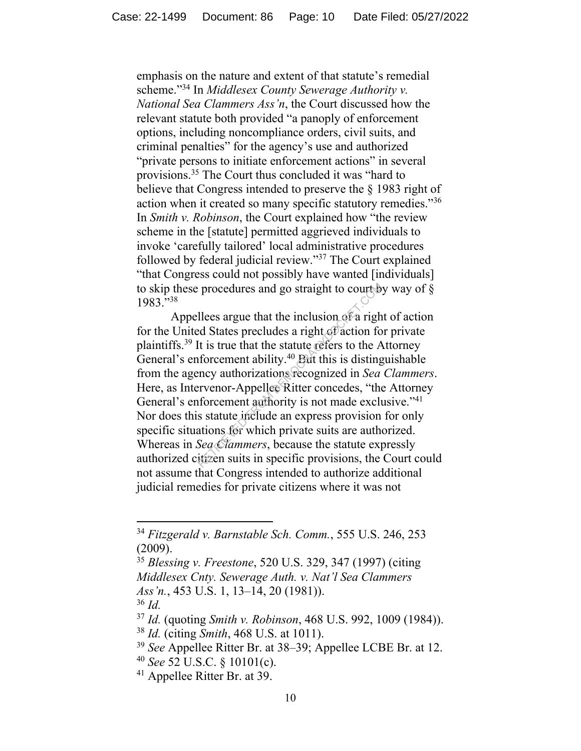emphasis on the nature and extent of that statute's remedial scheme."<sup>34</sup> In *Middlesex County Sewerage Authority v. National Sea Clammers Ass'n*, the Court discussed how the relevant statute both provided "a panoply of enforcement options, including noncompliance orders, civil suits, and criminal penalties" for the agency's use and authorized "private persons to initiate enforcement actions" in several provisions.<sup>35</sup> The Court thus concluded it was "hard to believe that Congress intended to preserve the § 1983 right of action when it created so many specific statutory remedies."<sup>36</sup> In *Smith v. Robinson*, the Court explained how "the review scheme in the [statute] permitted aggrieved individuals to invoke 'carefully tailored' local administrative procedures followed by federal judicial review."<sup>37</sup> The Court explained "that Congress could not possibly have wanted [individuals] to skip these procedures and go straight to court by way of  $\S$ 1983."<sup>38</sup>

Appellees argue that the inclusion of a right of action for the United States precludes a right of action for private plaintiffs.<sup>39</sup> It is true that the statute refers to the Attorney General's enforcement ability.<sup>40</sup> But this is distinguishable from the agency authorizations recognized in *Sea Clammers*. Here, as Intervenor-Appellee Ritter concedes, "the Attorney General's enforcement authority is not made exclusive."<sup>41</sup> Nor does this statute include an express provision for only specific situations for which private suits are authorized. Whereas in *Sea Clammers*, because the statute expressly authorized citizen suits in specific provisions, the Court could not assume that Congress intended to authorize additional judicial remedies for private citizens where it was not reprocedures and go straight to courts<br>
llees argue that the inclusion of a right<br>
d States precludes a right of action for<br>
lt is true that the statute refers to the A<br>
iforcement ability.<sup>40</sup> Eut this is disting<br>
ency au

<sup>34</sup> *Fitzgerald v. Barnstable Sch. Comm.*, 555 U.S. 246, 253 (2009).

<sup>35</sup> *Blessing v. Freestone*, 520 U.S. 329, 347 (1997) (citing *Middlesex Cnty. Sewerage Auth. v. Nat'l Sea Clammers Ass'n.*, 453 U.S. 1, 13–14, 20 (1981)). <sup>36</sup> *Id.* 

<sup>37</sup> *Id.* (quoting *Smith v. Robinson*, 468 U.S. 992, 1009 (1984)).

<sup>38</sup> *Id.* (citing *Smith*, 468 U.S. at 1011).

<sup>39</sup> *See* Appellee Ritter Br. at 38–39; Appellee LCBE Br. at 12.

<sup>40</sup> *See* 52 U.S.C. § 10101(c).

<sup>41</sup> Appellee Ritter Br. at 39.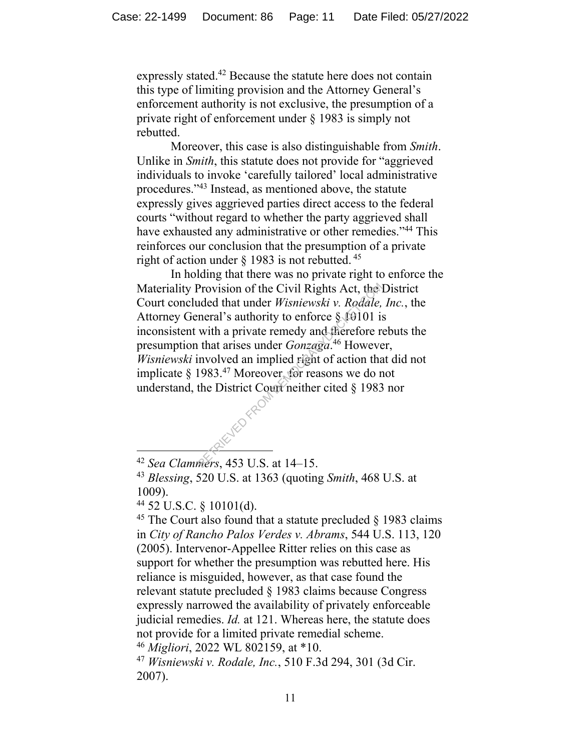expressly stated.<sup>42</sup> Because the statute here does not contain this type of limiting provision and the Attorney General's enforcement authority is not exclusive, the presumption of a private right of enforcement under § 1983 is simply not rebutted.

Moreover, this case is also distinguishable from *Smith*. Unlike in *Smith*, this statute does not provide for "aggrieved individuals to invoke 'carefully tailored' local administrative procedures."<sup>43</sup> Instead, as mentioned above, the statute expressly gives aggrieved parties direct access to the federal courts "without regard to whether the party aggrieved shall have exhausted any administrative or other remedies."<sup>44</sup> This reinforces our conclusion that the presumption of a private right of action under  $\S$  1983 is not rebutted. <sup>45</sup>

In holding that there was no private right to enforce the Materiality Provision of the Civil Rights Act, the District Court concluded that under *Wisniewski v. Rodale, Inc.*, the Attorney General's authority to enforce  $\S$  10101 is inconsistent with a private remedy and therefore rebuts the presumption that arises under *Gonzaga*. <sup>46</sup> However, *Wisniewski* involved an implied right of action that did not implicate § 1983.<sup>47</sup> Moreover, for reasons we do not understand, the District Court neither cited § 1983 nor Provision of the Civil Rights Act, the uded that under *Wisniewski v. Rodale*, neral's authority to enforce  $\S$  10101 is with a private remedy and therefore r that arises under *Gonzaga*.<sup>46</sup> Howeve involved an implied ri

<sup>45</sup> The Court also found that a statute precluded  $\S$  1983 claims in *City of Rancho Palos Verdes v. Abrams*, 544 U.S. 113, 120 (2005). Intervenor-Appellee Ritter relies on this case as support for whether the presumption was rebutted here. His reliance is misguided, however, as that case found the relevant statute precluded § 1983 claims because Congress expressly narrowed the availability of privately enforceable judicial remedies. *Id.* at 121. Whereas here, the statute does not provide for a limited private remedial scheme. <sup>46</sup> *Migliori*, 2022 WL 802159, at \*10.

<sup>47</sup> *Wisniewski v. Rodale, Inc.*, 510 F.3d 294, 301 (3d Cir. 2007).

<sup>42</sup> *Sea Clammers*, 453 U.S. at 14–15.

<sup>43</sup> *Blessing*, 520 U.S. at 1363 (quoting *Smith*, 468 U.S. at 1009).

<sup>44</sup> 52 U.S.C. § 10101(d).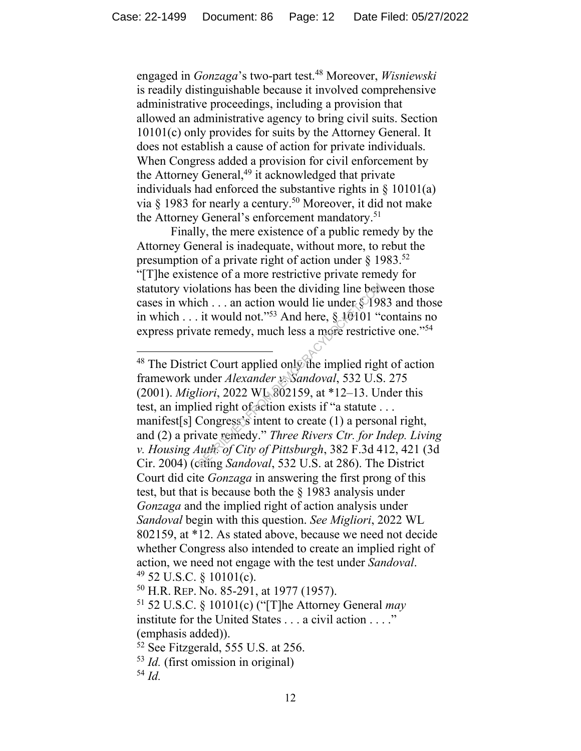engaged in *Gonzaga*'s two-part test. <sup>48</sup> Moreover, *Wisniewski* is readily distinguishable because it involved comprehensive administrative proceedings, including a provision that allowed an administrative agency to bring civil suits. Section 10101(c) only provides for suits by the Attorney General. It does not establish a cause of action for private individuals. When Congress added a provision for civil enforcement by the Attorney General,<sup>49</sup> it acknowledged that private individuals had enforced the substantive rights in  $\S$  10101(a) via  $\S$  1983 for nearly a century.<sup>50</sup> Moreover, it did not make the Attorney General's enforcement mandatory.<sup>51</sup>

Finally, the mere existence of a public remedy by the Attorney General is inadequate, without more, to rebut the presumption of a private right of action under  $\S 1983$ .<sup>52</sup> "[T]he existence of a more restrictive private remedy for statutory violations has been the dividing line between those cases in which . . . an action would lie under § 1983 and those in which . . . it would not."<sup>53</sup> And here,  $\S$  10101 "contains no express private remedy, much less a more restrictive one."<sup>54</sup>

<sup>50</sup> H.R. REP. No. 85-291, at 1977 (1957).

<sup>&</sup>lt;sup>48</sup> The District Court applied only the implied right of action framework under *Alexander v. Sandoval*, 532 U.S. 275 (2001). *Migliori*, 2022 WL 802159, at \*12–13. Under this test, an implied right of action exists if "a statute . . . manifest[s] Congress's intent to create (1) a personal right, and (2) a private remedy." *Three Rivers Ctr. for Indep. Living v. Housing Auth. of City of Pittsburgh*, 382 F.3d 412, 421 (3d Cir. 2004) (citing *Sandoval*, 532 U.S. at 286). The District Court did cite *Gonzaga* in answering the first prong of this test, but that is because both the § 1983 analysis under *Gonzaga* and the implied right of action analysis under *Sandoval* begin with this question. *See Migliori*, 2022 WL 802159, at \*12. As stated above, because we need not decide whether Congress also intended to create an implied right of action, we need not engage with the test under *Sandoval*.  $49$  52 U.S.C. § 10101(c). value of the dividing line between the dividing line between the dividing line between the would not."<sup>53</sup> And here,  $\S$  10101 " (ate remedy, much less a more restriction to the mediator of the implied right under *Alexan* 

<sup>51</sup> 52 U.S.C. § 10101(c) ("[T]he Attorney General *may*  institute for the United States . . . a civil action . . . ." (emphasis added)).

 $52$  See Fitzgerald, 555 U.S. at 256.

<sup>53</sup> *Id.* (first omission in original) <sup>54</sup> *Id.*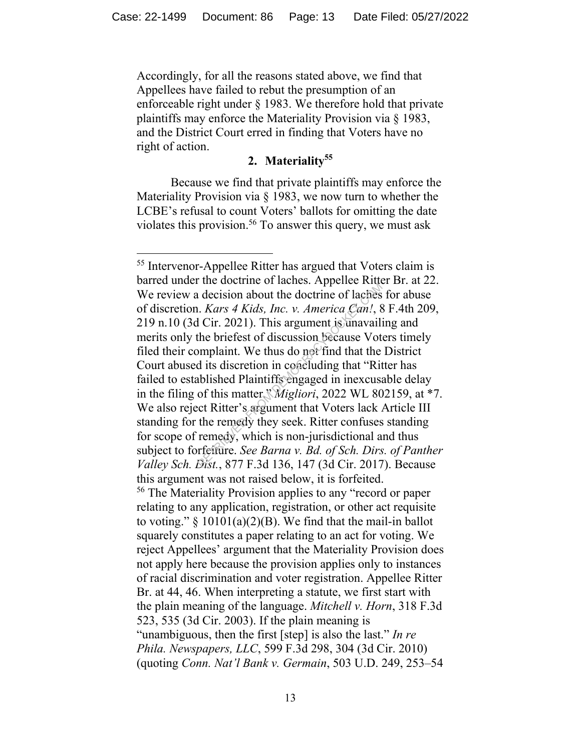Accordingly, for all the reasons stated above, we find that Appellees have failed to rebut the presumption of an enforceable right under § 1983. We therefore hold that private plaintiffs may enforce the Materiality Provision via § 1983, and the District Court erred in finding that Voters have no right of action.

# **2. Materiality<sup>55</sup>**

Because we find that private plaintiffs may enforce the Materiality Provision via § 1983, we now turn to whether the LCBE's refusal to count Voters' ballots for omitting the date violates this provision.<sup>56</sup> To answer this query, we must ask

<sup>55</sup> Intervenor-Appellee Ritter has argued that Voters claim is barred under the doctrine of laches. Appellee Ritter Br. at 22. We review a decision about the doctrine of laches for abuse of discretion. *Kars 4 Kids, Inc. v. America Can!*, 8 F.4th 209, 219 n.10 (3d Cir. 2021). This argument is unavailing and merits only the briefest of discussion because Voters timely filed their complaint. We thus do not find that the District Court abused its discretion in concluding that "Ritter has failed to established Plaintiffs engaged in inexcusable delay in the filing of this matter." *Migliori*, 2022 WL 802159, at \*7. We also reject Ritter's argument that Voters lack Article III standing for the remedy they seek. Ritter confuses standing for scope of remedy, which is non-jurisdictional and thus subject to forfeiture. *See Barna v. Bd. of Sch. Dirs. of Panther Valley Sch. Dist.*, 877 F.3d 136, 147 (3d Cir. 2017). Because this argument was not raised below, it is forfeited. <sup>56</sup> The Materiality Provision applies to any "record or paper relating to any application, registration, or other act requisite to voting."  $\S$  10101(a)(2)(B). We find that the mail-in ballot squarely constitutes a paper relating to an act for voting. We reject Appellees' argument that the Materiality Provision does not apply here because the provision applies only to instances of racial discrimination and voter registration. Appellee Ritter Br. at 44, 46. When interpreting a statute, we first start with the plain meaning of the language. *Mitchell v. Horn*, 318 F.3d 523, 535 (3d Cir. 2003). If the plain meaning is "unambiguous, then the first [step] is also the last." *In re Phila. Newspapers, LLC*, 599 F.3d 298, 304 (3d Cir. 2010) (quoting *Conn. Nat'l Bank v. Germain*, 503 U.D. 249, 253–54 Recision about the doctrine of laches.<br>
Recision about the doctrine of laches<br>
Recision about the doctrine of laches<br>
Recision Scane Can!, 8<br>
Recision because Vot<br>
Recision Lecause Vot<br>
Simplaint. We thus do not find that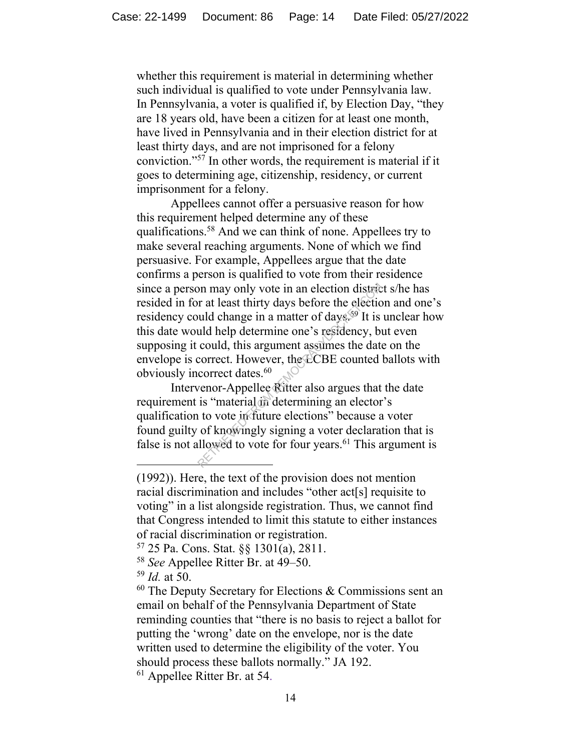whether this requirement is material in determining whether such individual is qualified to vote under Pennsylvania law. In Pennsylvania, a voter is qualified if, by Election Day, "they are 18 years old, have been a citizen for at least one month, have lived in Pennsylvania and in their election district for at least thirty days, and are not imprisoned for a felony conviction."<sup>57</sup> In other words, the requirement is material if it goes to determining age, citizenship, residency, or current imprisonment for a felony.

Appellees cannot offer a persuasive reason for how this requirement helped determine any of these qualifications.<sup>58</sup> And we can think of none. Appellees try to make several reaching arguments. None of which we find persuasive. For example, Appellees argue that the date confirms a person is qualified to vote from their residence since a person may only vote in an election district s/he has resided in for at least thirty days before the election and one's residency could change in a matter of days.<sup>59</sup> It is unclear how this date would help determine one's residency, but even supposing it could, this argument assumes the date on the envelope is correct. However, the LCBE counted ballots with obviously incorrect dates.<sup>60</sup> on may only vote in an election districtive and the value of days.<sup>59</sup> It is uld help determine one's residency, be could, this argument assumes the date correct. However, the CCBE counted correct dates.<sup>60</sup> venor-Appellee

Intervenor-Appellee Ritter also argues that the date requirement is "material in determining an elector's qualification to vote in future elections" because a voter found guilty of knowingly signing a voter declaration that is false is not allowed to vote for four years.<sup>61</sup> This argument is

- <sup>57</sup> 25 Pa. Cons. Stat. §§ 1301(a), 2811.
- <sup>58</sup> *See* Appellee Ritter Br. at 49–50.
- <sup>59</sup> *Id.* at 50.

 $60$  The Deputy Secretary for Elections & Commissions sent an email on behalf of the Pennsylvania Department of State reminding counties that "there is no basis to reject a ballot for putting the 'wrong' date on the envelope, nor is the date written used to determine the eligibility of the voter. You should process these ballots normally." JA 192. <sup>61</sup> Appellee Ritter Br. at 54.

<sup>(1992)).</sup> Here, the text of the provision does not mention racial discrimination and includes "other act[s] requisite to voting" in a list alongside registration. Thus, we cannot find that Congress intended to limit this statute to either instances of racial discrimination or registration.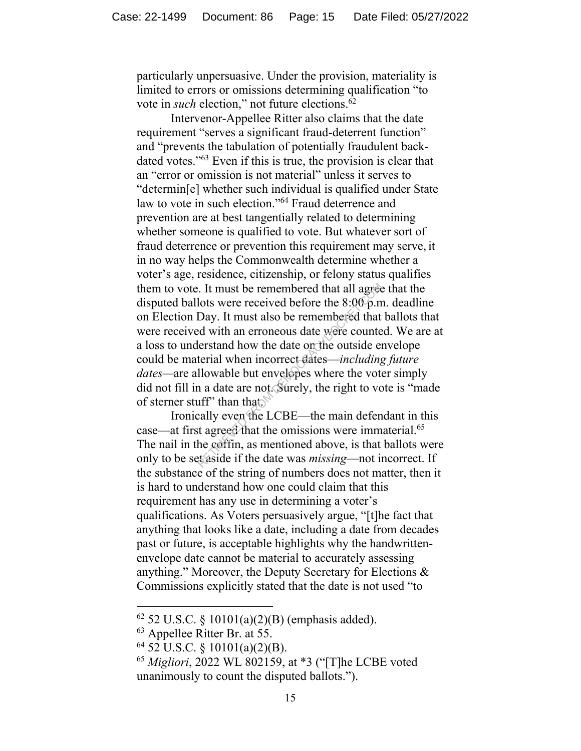particularly unpersuasive. Under the provision, materiality is limited to errors or omissions determining qualification "to vote in *such* election," not future elections.<sup>62</sup>

Intervenor-Appellee Ritter also claims that the date requirement "serves a significant fraud-deterrent function" and "prevents the tabulation of potentially fraudulent backdated votes."<sup>63</sup> Even if this is true, the provision is clear that an "error or omission is not material" unless it serves to "determin[e] whether such individual is qualified under State law to vote in such election."<sup>64</sup> Fraud deterrence and prevention are at best tangentially related to determining whether someone is qualified to vote. But whatever sort of fraud deterrence or prevention this requirement may serve, it in no way helps the Commonwealth determine whether a voter's age, residence, citizenship, or felony status qualifies them to vote. It must be remembered that all agree that the disputed ballots were received before the 8:00 p.m. deadline on Election Day. It must also be remembered that ballots that were received with an erroneous date were counted. We are at a loss to understand how the date on the outside envelope could be material when incorrect dates—*including future dates—*are allowable but envelopes where the voter simply did not fill in a date are not. Surely, the right to vote is "made of sterner stuff" than that. Example 1. It must be remembered that all agreed lots were received before the  $8:00$  p.m Day. It must also be remembered that ed with an erroneous date were counte lerstand how the date on the outside enterial when incor

Ironically even the LCBE—the main defendant in this case—at first agreed that the omissions were immaterial.<sup>65</sup> The nail in the coffin, as mentioned above, is that ballots were only to be set aside if the date was *missing*—not incorrect. If the substance of the string of numbers does not matter, then it is hard to understand how one could claim that this requirement has any use in determining a voter's qualifications. As Voters persuasively argue, "[t]he fact that anything that looks like a date, including a date from decades past or future, is acceptable highlights why the handwrittenenvelope date cannot be material to accurately assessing anything." Moreover, the Deputy Secretary for Elections & Commissions explicitly stated that the date is not used "to

<sup>62</sup> 52 U.S.C. § 10101(a)(2)(B) (emphasis added).

<sup>&</sup>lt;sup>63</sup> Appellee Ritter Br. at 55.

<sup>64</sup> 52 U.S.C. § 10101(a)(2)(B).

<sup>65</sup> *Migliori*, 2022 WL 802159, at \*3 ("[T]he LCBE voted unanimously to count the disputed ballots.").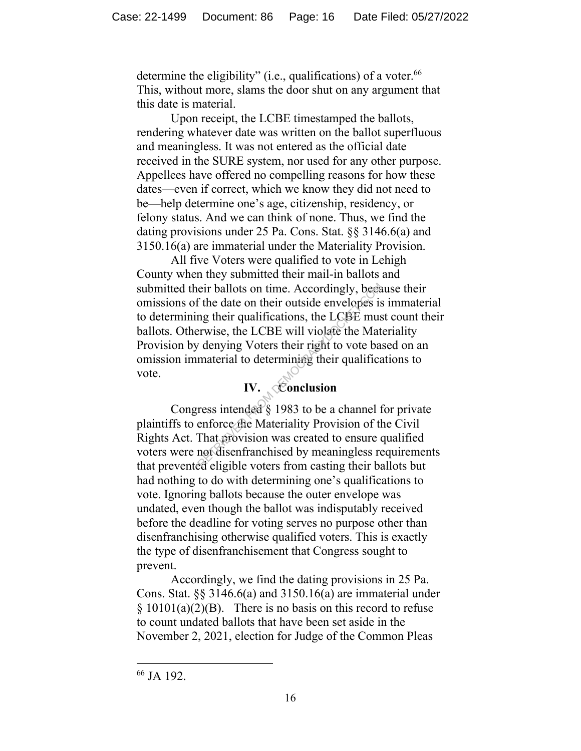determine the eligibility" (i.e., qualifications) of a voter.<sup>66</sup> This, without more, slams the door shut on any argument that this date is material.

Upon receipt, the LCBE timestamped the ballots, rendering whatever date was written on the ballot superfluous and meaningless. It was not entered as the official date received in the SURE system, nor used for any other purpose. Appellees have offered no compelling reasons for how these dates—even if correct, which we know they did not need to be—help determine one's age, citizenship, residency, or felony status. And we can think of none. Thus, we find the dating provisions under 25 Pa. Cons. Stat. §§ 3146.6(a) and 3150.16(a) are immaterial under the Materiality Provision.

All five Voters were qualified to vote in Lehigh County when they submitted their mail-in ballots and submitted their ballots on time. Accordingly, because their omissions of the date on their outside envelopes is immaterial to determining their qualifications, the LCBE must count their ballots. Otherwise, the LCBE will violate the Materiality Provision by denying Voters their right to vote based on an omission immaterial to determining their qualifications to vote. eir ballots on time. Accordingly, been<br>
f the date on their outside envelopes is<br>
ng their qualifications, the LCBE mus<br>
erwise, the LCBE will violate the Mat<br>
v denying Voters their right to vote bas<br>
material to determin

# **IV. Conclusion**

Congress intended § 1983 to be a channel for private plaintiffs to enforce the Materiality Provision of the Civil Rights Act. That provision was created to ensure qualified voters were not disenfranchised by meaningless requirements that prevented eligible voters from casting their ballots but had nothing to do with determining one's qualifications to vote. Ignoring ballots because the outer envelope was undated, even though the ballot was indisputably received before the deadline for voting serves no purpose other than disenfranchising otherwise qualified voters. This is exactly the type of disenfranchisement that Congress sought to prevent.

Accordingly, we find the dating provisions in 25 Pa. Cons. Stat. §§ 3146.6(a) and 3150.16(a) are immaterial under  $\S$  10101(a)(2)(B). There is no basis on this record to refuse to count undated ballots that have been set aside in the November 2, 2021, election for Judge of the Common Pleas

<sup>66</sup> JA 192.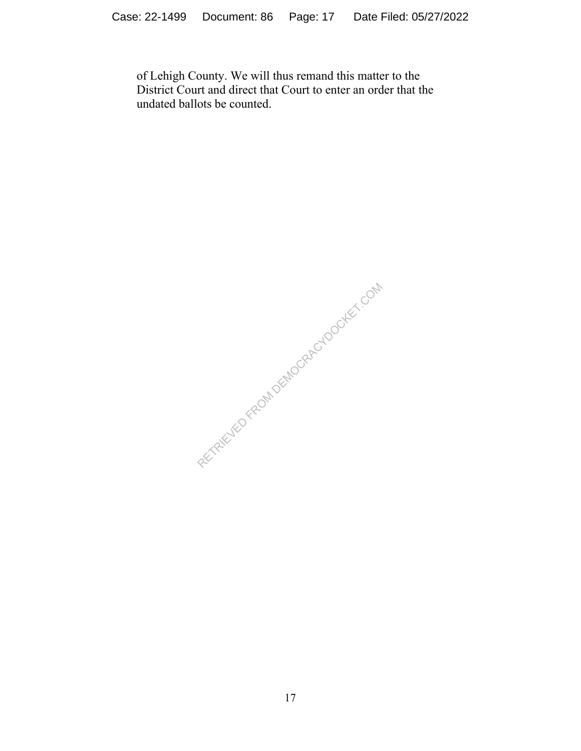of Lehigh County. We will thus remand this matter to the District Court and direct that Court to enter an order that the undated ballots be counted.

RECTRIC TEO FROM DEMOCRACY DOOKET.COM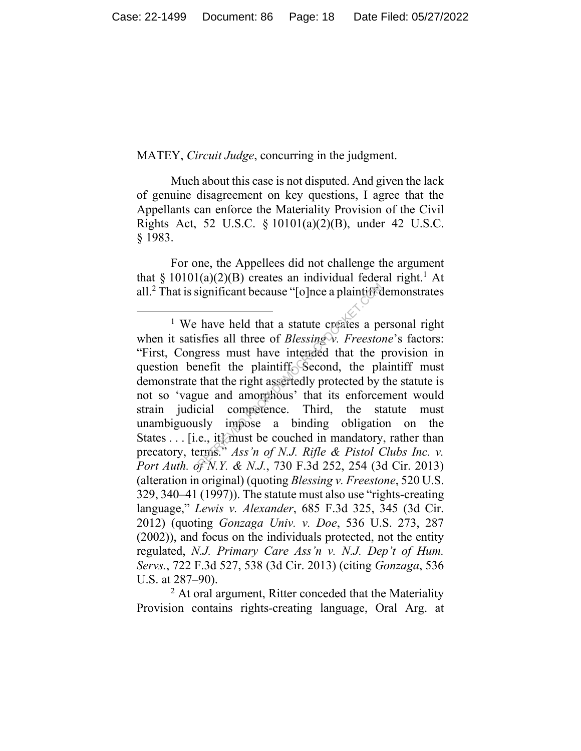MATEY, *Circuit Judge*, concurring in the judgment.

Much about this case is not disputed. And given the lack of genuine disagreement on key questions, I agree that the Appellants can enforce the Materiality Provision of the Civil Rights Act, 52 U.S.C. § 10101(a)(2)(B), under 42 U.S.C. § 1983.

For one, the Appellees did not challenge the argument that  $\S 10101(a)(2)(B)$  creates an individual federal right.<sup>1</sup> At all.<sup>2</sup> That is significant because "[o]nce a plaintiff demonstrates

 $<sup>2</sup>$  At oral argument, Ritter conceded that the Materiality</sup> Provision contains rights-creating language, Oral Arg. at

<sup>&</sup>lt;sup>1</sup> We have held that a statute creates a personal right when it satisfies all three of *Blessing v. Freestone*'s factors: "First, Congress must have intended that the provision in question benefit the plaintiff. Second, the plaintiff must demonstrate that the right assertedly protected by the statute is not so 'vague and amorphous' that its enforcement would strain judicial competence. Third, the statute must unambiguously impose a binding obligation on the States . . . [i.e., it] must be couched in mandatory, rather than precatory, terms." *Ass'n of N.J. Rifle & Pistol Clubs Inc. v. Port Auth. of N.Y. & N.J.*, 730 F.3d 252, 254 (3d Cir. 2013) (alteration in original) (quoting *Blessing v. Freestone*, 520 U.S. 329, 340–41 (1997)). The statute must also use "rights-creating language," *Lewis v. Alexander*, 685 F.3d 325, 345 (3d Cir. 2012) (quoting *Gonzaga Univ. v. Doe*, 536 U.S. 273, 287 (2002)), and focus on the individuals protected, not the entity regulated, *N.J. Primary Care Ass'n v. N.J. Dep't of Hum. Servs.*, 722 F.3d 527, 538 (3d Cir. 2013) (citing *Gonzaga*, 536 U.S. at 287–90). ignificant because "[o]nce a plaintific<br>
have held that a statute creates a perfies all three of *Blessing* w. *Freestois*<br>
gress must have intended that the j<br>
inefit the plaintiff Second, the plant<br>
that the right asser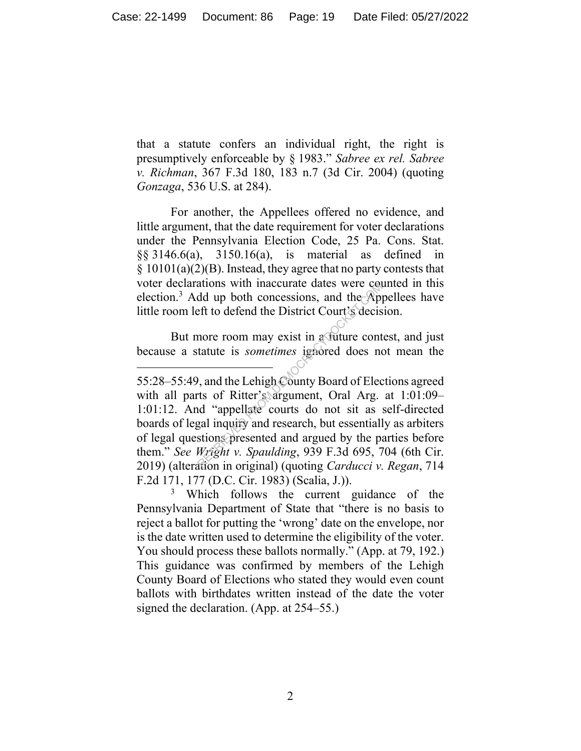that a statute confers an individual right, the right is presumptively enforceable by § 1983." *Sabree ex rel. Sabree v. Richman*, 367 F.3d 180, 183 n.7 (3d Cir. 2004) (quoting *Gonzaga*, 536 U.S. at 284).

For another, the Appellees offered no evidence, and little argument, that the date requirement for voter declarations under the Pennsylvania Election Code, 25 Pa. Cons. Stat. §§ 3146.6(a), 3150.16(a), is material as defined in  $\S$  10101(a)(2)(B). Instead, they agree that no party contests that voter declarations with inaccurate dates were counted in this election. <sup>3</sup> Add up both concessions, and the Appellees have little room left to defend the District Court's decision.

But more room may exist in a future contest, and just because a statute is *sometimes* ignored does not mean the

<sup>55:28</sup>–55:49, and the Lehigh County Board of Elections agreed with all parts of Ritter's argument, Oral Arg. at 1:01:09-1:01:12. And "appellate courts do not sit as self-directed boards of legal inquiry and research, but essentially as arbiters of legal questions presented and argued by the parties before them." *See Wright v. Spaulding*, 939 F.3d 695, 704 (6th Cir. 2019) (alteration in original) (quoting *Carducci v. Regan*, 714 F.2d 171, 177 (D.C. Cir. 1983) (Scalia, J.)). ations with maccurate cates were conder<br>dd up both concessions, and the App<br>eft to defend the District Court's decise<br>more room may exist in a future cont<br>tatute is *sometimes* ignored does not<br>tatute is *sometimes* ignore

<sup>&</sup>lt;sup>3</sup> Which follows the current guidance of the Pennsylvania Department of State that "there is no basis to reject a ballot for putting the 'wrong' date on the envelope, nor is the date written used to determine the eligibility of the voter. You should process these ballots normally." (App. at 79, 192.) This guidance was confirmed by members of the Lehigh County Board of Elections who stated they would even count ballots with birthdates written instead of the date the voter signed the declaration. (App. at 254–55.)